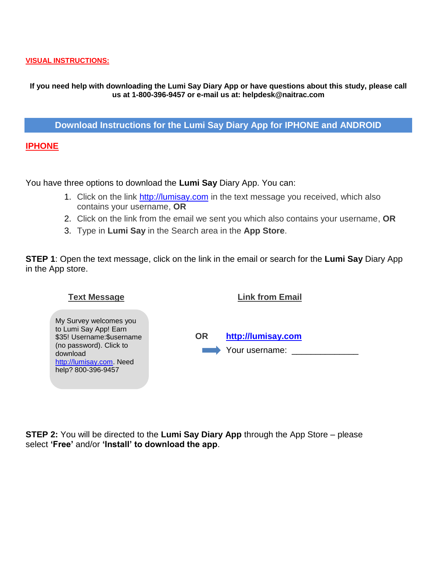#### **VISUAL INSTRUCTIONS:**

### **If you need help with downloading the Lumi Say Diary App or have questions about this study, please call us at 1-800-396-9457 or e-mail us at: [helpdesk@naitrac.com](mailto:helpdesk@naitrac.com)**

**Download Instructions for the Lumi Say Diary App for IPHONE and ANDROID**

**IPHONE**

You have three options to download the **Lumi Say** Diary App. You can:

- 1. Click on the link [http://lumisay.com](http://lumisay.com/) in the text message you received, which also contains your username, **OR**
- 2. Click on the link from the email we sent you which also contains your username, **OR**
- 3. Type in **Lumi Say** in the Search area in the **App Store**.

**STEP 1**: Open the text message, click on the link in the email or search for the **Lumi Say** Diary App in the App store.

| <b>Text Message</b>                                                                                                                                                    | <b>Link from Email</b>                     |
|------------------------------------------------------------------------------------------------------------------------------------------------------------------------|--------------------------------------------|
| My Survey welcomes you<br>to Lumi Say App! Earn<br>\$35! Username: \$username<br>(no password). Click to<br>download<br>http://lumisay.com. Need<br>help? 800-396-9457 | http://lumisay.com<br>OR<br>Your username: |

**STEP 2:** You will be directed to the **Lumi Say Diary App** through the App Store – please select **'Free'** and/or **'Install' to download the app**.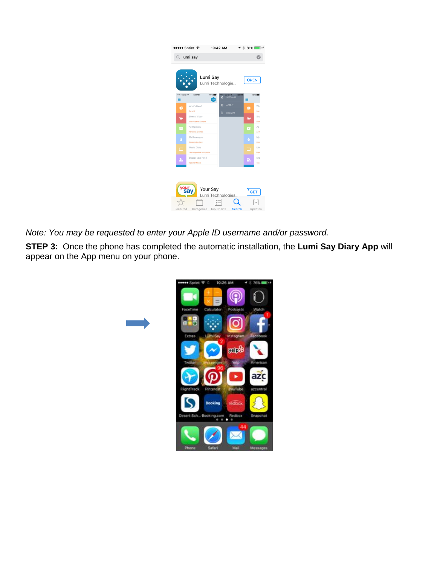|                 | •••• Sprint ক                                     | 10:42 AM                                                |                                 |                              |
|-----------------|---------------------------------------------------|---------------------------------------------------------|---------------------------------|------------------------------|
|                 | $Q$ lumi say                                      |                                                         |                                 |                              |
| esee: Carrier 9 | 8:08 AM                                           | Lumi Say<br>Lumi Technologie<br>100%<br>                | 8:08 AM<br>Carrier <sub>9</sub> | <b>OPEN</b><br>100%          |
| $\equiv$        |                                                   | ۰                                                       | <b>SETTINGS</b>                 | $\equiv$                     |
| o               | What's New?<br>Say $\sqrt{2.2}$                   | 圓<br><b>G</b>                                           | <b>ABOUT</b><br>LOGOUT          | Who<br>۰<br>Say v            |
| ÷               | Share a Video<br>Video Capture Example            |                                                         |                                 | Sho<br>÷<br>Video            |
| Ð               | Ad Opinions<br>Ad Testing Example                 |                                                         |                                 | Ad 0<br>Ð<br>Ad Te           |
| ð               | My Beverages<br>Consumption Diary                 |                                                         |                                 | Mv<br>ð<br>Cons              |
| □               | Media Diary<br><b>Capturing Media Touchpoints</b> |                                                         |                                 | Med<br>⊏<br>Capti            |
| 21.             | Engage your Panel<br><b>Tips and Options</b>      |                                                         |                                 | Enoi<br>л<br>Tips i          |
| Featured        |                                                   | Your Say<br>Lumi Technologies.<br>Categories Top Charts | <b>Search</b>                   | $^\mathsf{t}$ GET<br>Updates |

*Note: You may be requested to enter your Apple ID username and/or password.*

**STEP 3:** Once the phone has completed the automatic installation, the **Lumi Say Diary App** will appear on the App menu on your phone.

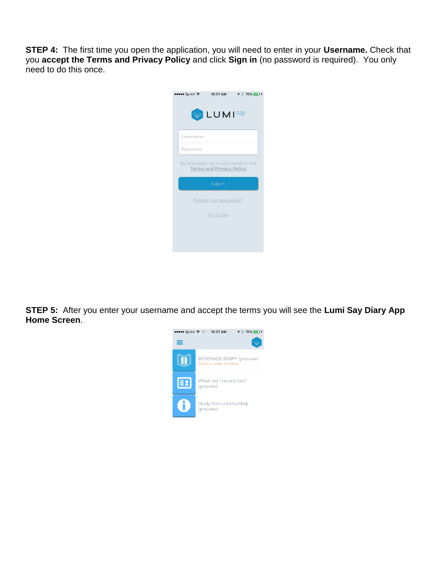**STEP 4:** The first time you open the application, you will need to enter in your **Username.** Check that you **accept the Terms and Privacy Policy** and click **Sign in** (no password is required). You only need to do this once.



**STEP 5:** After you enter your username and accept the terms you will see the **Lumi Say Diary App Home Screen**.

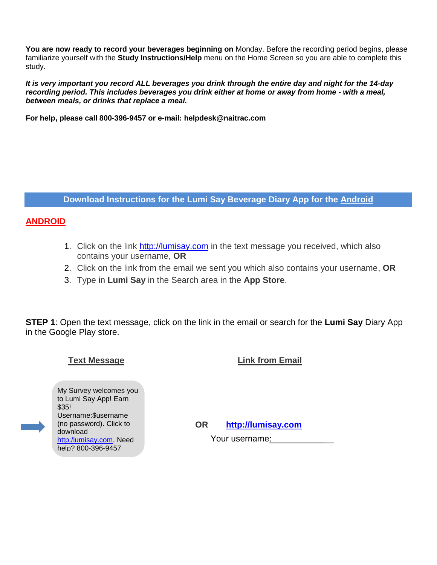**You are now ready to record your beverages beginning on** Monday. Before the recording period begins, please familiarize yourself with the **Study Instructions/Help** menu on the Home Screen so you are able to complete this study.

*It is very important you record ALL beverages you drink through the entire day and night for the 14-day recording period. This includes beverages you drink either at home or away from home - with a meal, between meals, or drinks that replace a meal.*

**For help, please call 800-396-9457 or e-mail: [helpdesk@naitrac.com](mailto:helpdesk@naitrac.com)**

**Download Instructions for the Lumi Say Beverage Diary App for the Android**

# **ANDROID**

- 1. Click on the link [http://lumisay.com](http://lumisay.com/) in the text message you received, which also contains your username, **OR**
- 2. Click on the link from the email we sent you which also contains your username, **OR**
- 3. Type in **Lumi Say** in the Search area in the **App Store**.

**STEP 1**: Open the text message, click on the link in the email or search for the **Lumi Say** Diary App in the Google Play store.

**Text Message Link from Email**

My Survey welcomes you to Lumi Say App! Earn \$35! Username:\$username (no password). Click to download [http:/lumisay.com.](http://bit.ly/tnsmyconnect) Need help? 800-396-9457

**OR [http://lumisay.com](http://lumisay.com/)**

Your username: <u>measure the</u>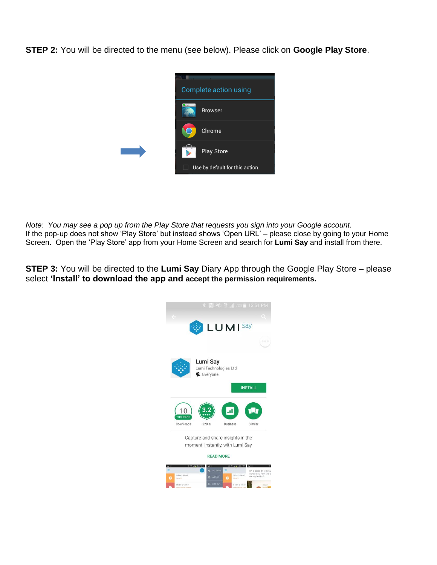**STEP 2:** You will be directed to the menu (see below). Please click on **Google Play Store**.



*Note: You may see a pop up from the Play Store that requests you sign into your Google account.* If the pop-up does not show 'Play Store' but instead shows 'Open URL' – please close by going to your Home Screen. Open the 'Play Store' app from your Home Screen and search for **Lumi Say** and install from there.

**STEP 3:** You will be directed to the **Lumi Say** Diary App through the Google Play Store – please select **'Install' to download the app and accept the permission requirements.**

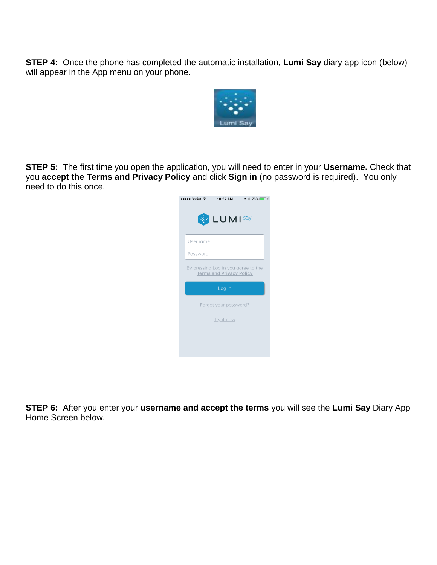**STEP 4:** Once the phone has completed the automatic installation, **Lumi Say** diary app icon (below) will appear in the App menu on your phone.



**STEP 5:** The first time you open the application, you will need to enter in your **Username.** Check that you **accept the Terms and Privacy Policy** and click **Sign in** (no password is required). You only need to do this once.



**STEP 6:** After you enter your **username and accept the terms** you will see the **Lumi Say** Diary App Home Screen below.